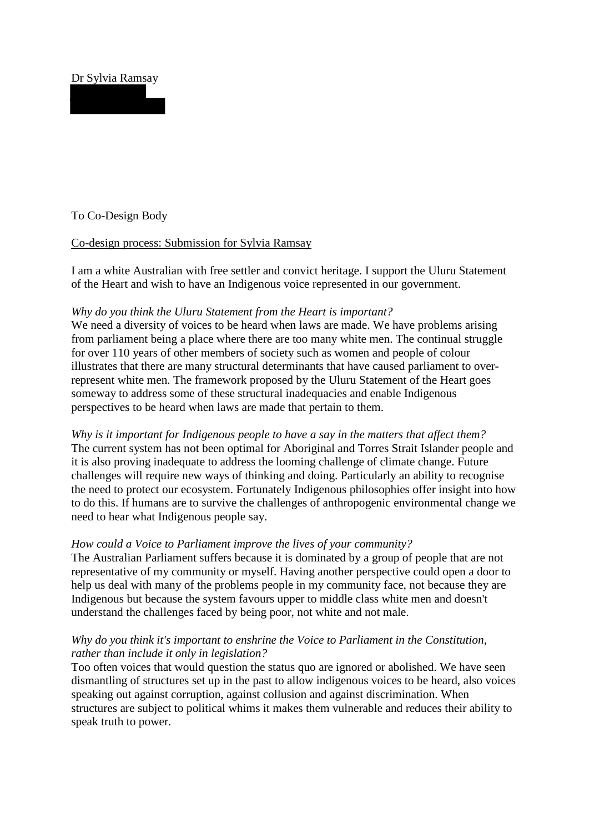# Dr Sylvia Ramsay

### To Co-Design Body

## Co-design process: Submission for Sylvia Ramsay

I am a white Australian with free settler and convict heritage. I support the Uluru Statement of the Heart and wish to have an Indigenous voice represented in our government.

### *Why do you think the Uluru Statement from the Heart is important?*

We need a diversity of voices to be heard when laws are made. We have problems arising from parliament being a place where there are too many white men. The continual struggle for over 110 years of other members of society such as women and people of colour illustrates that there are many structural determinants that have caused parliament to overrepresent white men. The framework proposed by the Uluru Statement of the Heart goes someway to address some of these structural inadequacies and enable Indigenous perspectives to be heard when laws are made that pertain to them.

*Why is it important for Indigenous people to have a say in the matters that affect them?* The current system has not been optimal for Aboriginal and Torres Strait Islander people and it is also proving inadequate to address the looming challenge of climate change. Future challenges will require new ways of thinking and doing. Particularly an ability to recognise the need to protect our ecosystem. Fortunately Indigenous philosophies offer insight into how to do this. If humans are to survive the challenges of anthropogenic environmental change we need to hear what Indigenous people say.

#### *How could a Voice to Parliament improve the lives of your community?*

The Australian Parliament suffers because it is dominated by a group of people that are not representative of my community or myself. Having another perspective could open a door to help us deal with many of the problems people in my community face, not because they are Indigenous but because the system favours upper to middle class white men and doesn't understand the challenges faced by being poor, not white and not male.

## *Why do you think it's important to enshrine the Voice to Parliament in the Constitution, rather than include it only in legislation?*

Too often voices that would question the status quo are ignored or abolished. We have seen dismantling of structures set up in the past to allow indigenous voices to be heard, also voices speaking out against corruption, against collusion and against discrimination. When structures are subject to political whims it makes them vulnerable and reduces their ability to speak truth to power.